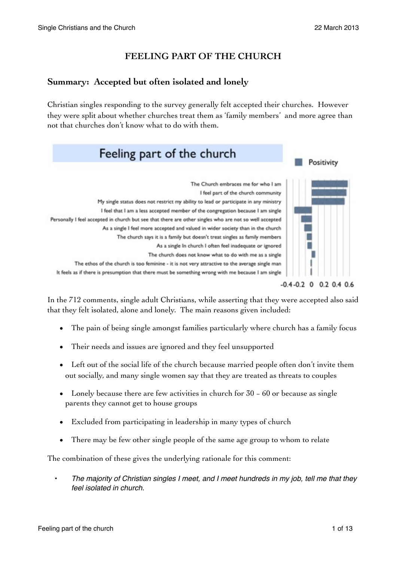# **FEELING PART OF THE CHURCH**

# **Summary: Accepted but often isolated and lonely**

Christian singles responding to the survey generally felt accepted their churches. However they were split about whether churches treat them as 'family members' and more agree than not that churches don't know what to do with them.



In the 712 comments, single adult Christians, while asserting that they were accepted also said that they felt isolated, alone and lonely. The main reasons given included:

- The pain of being single amongst families particularly where church has a family focus
- Their needs and issues are ignored and they feel unsupported
- Left out of the social life of the church because married people often don't invite them out socially, and many single women say that they are treated as threats to couples
- Lonely because there are few activities in church for 30 − 60 or because as single parents they cannot get to house groups
- Excluded from participating in leadership in many types of church
- There may be few other single people of the same age group to whom to relate

The combination of these gives the underlying rationale for this comment:

• *The majority of Christian singles I meet, and I meet hundreds in my job, tell me that they feel isolated in church.*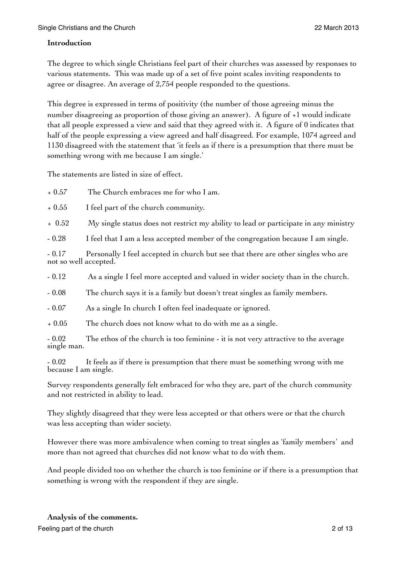#### **Introduction**

The degree to which single Christians feel part of their churches was assessed by responses to various statements. This was made up of a set of five point scales inviting respondents to agree or disagree. An average of 2,754 people responded to the questions.

This degree is expressed in terms of positivity (the number of those agreeing minus the number disagreeing as proportion of those giving an answer). A figure of +1 would indicate that all people expressed a view and said that they agreed with it. A figure of 0 indicates that half of the people expressing a view agreed and half disagreed. For example, 1074 agreed and 1130 disagreed with the statement that 'it feels as if there is a presumption that there must be something wrong with me because I am single.'

The statements are listed in size of effect.

+ 0.57 The Church embraces me for who I am.

+ 0.55 I feel part of the church community.

+ 0.52 My single status does not restrict my ability to lead or participate in any ministry

- 0.28 I feel that I am a less accepted member of the congregation because I am single.

- 0.17 Personally I feel accepted in church but see that there are other singles who are not so well accepted.

- 0.12 As a single I feel more accepted and valued in wider society than in the church.

- 0.08 The church says it is a family but doesn't treat singles as family members.

- 0.07 As a single In church I often feel inadequate or ignored.

+ 0.05 The church does not know what to do with me as a single.

- 0.02 The ethos of the church is too feminine - it is not very attractive to the average single man.

- 0.02 It feels as if there is presumption that there must be something wrong with me because I am single.

Survey respondents generally felt embraced for who they are, part of the church community and not restricted in ability to lead.

They slightly disagreed that they were less accepted or that others were or that the church was less accepting than wider society.

However there was more ambivalence when coming to treat singles as 'family members' and more than not agreed that churches did not know what to do with them.

And people divided too on whether the church is too feminine or if there is a presumption that something is wrong with the respondent if they are single.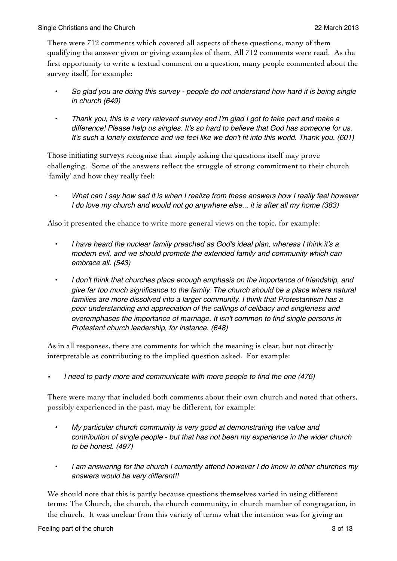There were 712 comments which covered all aspects of these questions, many of them qualifying the answer given or giving examples of them. All 712 comments were read. As the first opportunity to write a textual comment on a question, many people commented about the survey itself, for example:

- *• So glad you are doing this survey people do not understand how hard it is being single in church (649)*
- *• Thank you, this is a very relevant survey and I'm glad I got to take part and make a difference! Please help us singles. It's so hard to believe that God has someone for us. It's such a lonely existence and we feel like we don't fit into this world. Thank you. (601)*

Those initiating surveys recognise that simply asking the questions itself may prove challenging. Some of the answers reflect the struggle of strong commitment to their church 'family' and how they really feel:

*• What can I say how sad it is when I realize from these answers how I really feel however I do love my church and would not go anywhere else... it is after all my home (383)*

Also it presented the chance to write more general views on the topic, for example:

- *• I have heard the nuclear family preached as God's ideal plan, whereas I think it's a modern evil, and we should promote the extended family and community which can embrace all. (543)*
- *• I don't think that churches place enough emphasis on the importance of friendship, and give far too much significance to the family. The church should be a place where natural families are more dissolved into a larger community. I think that Protestantism has a poor understanding and appreciation of the callings of celibacy and singleness and overemphases the importance of marriage. It isn't common to find single persons in Protestant church leadership, for instance. (648)*

As in all responses, there are comments for which the meaning is clear, but not directly interpretable as contributing to the implied question asked. For example:

*• I need to party more and communicate with more people to find the one (476)*

There were many that included both comments about their own church and noted that others, possibly experienced in the past, may be different, for example:

- *• My particular church community is very good at demonstrating the value and contribution of single people - but that has not been my experience in the wider church to be honest. (497)*
- *• I am answering for the church I currently attend however I do know in other churches my answers would be very different!!*

We should note that this is partly because questions themselves varied in using different terms: The Church, the church, the church community, in church member of congregation, in the church. It was unclear from this variety of terms what the intention was for giving an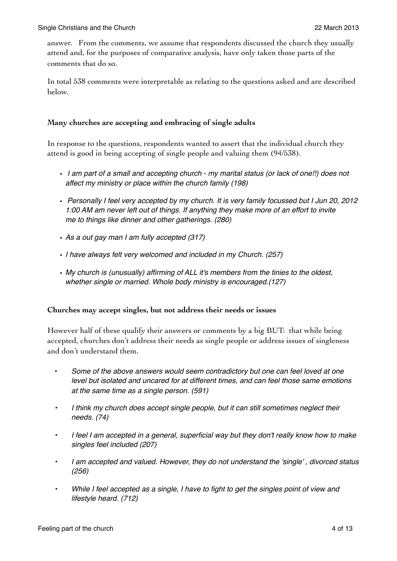answer. From the comments, we assume that respondents discussed the church they usually attend and, for the purposes of comparative analysis, have only taken those parts of the comments that do so.

In total 538 comments were interpretable as relating to the questions asked and are described below.

#### **Many churches are accepting and embracing of single adults**

In response to the questions, respondents wanted to assert that the individual church they attend is good in being accepting of single people and valuing them (94/538).

- *I am part of a small and accepting church my marital status (or lack of one!!) does not affect my ministry or place within the church family (198)*
- *• Personally I feel very accepted by my church. It is very family focussed but I Jun 20, 2012 1:00 AM am never left out of things. If anything they make more of an effort to invite me to things like dinner and other gatherings. (280)*
- *• As a out gay man I am fully accepted (317)*
- *• I have always felt very welcomed and included in my Church. (257)*
- *• My church is (unusually) affirming of ALL it's members from the tinies to the oldest, whether single or married. Whole body ministry is encouraged.(127)*

#### **Churches may accept singles, but not address their needs or issues**

However half of these qualify their answers or comments by a big BUT: that while being accepted, churches don't address their needs as single people or address issues of singleness and don't understand them.

- *Some of the above answers would seem contradictory but one can feel loved at one level but isolated and uncared for at different times, and can feel those same emotions at the same time as a single person. (591)*
- *• I think my church does accept single people, but it can still sometimes neglect their needs. (74)*
- *• I feel I am accepted in a general, superficial way but they don't really know how to make singles feel included (207)*
- *• I am accepted and valued. However, they do not understand the 'single' , divorced status (256)*
- *• While I feel accepted as a single, I have to fight to get the singles point of view and lifestyle heard. (712)*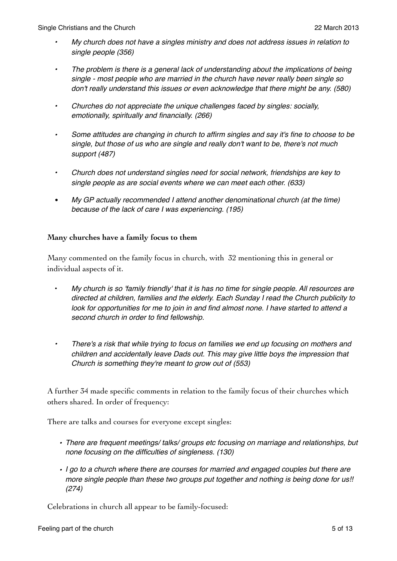- *• My church does not have a singles ministry and does not address issues in relation to single people (356)*
- *• The problem is there is a general lack of understanding about the implications of being single - most people who are married in the church have never really been single so don't really understand this issues or even acknowledge that there might be any. (580)*
- *• Churches do not appreciate the unique challenges faced by singles: socially, emotionally, spiritually and financially. (266)*
- *• Some attitudes are changing in church to affirm singles and say it's fine to choose to be single, but those of us who are single and really don't want to be, there's not much support (487)*
- *• Church does not understand singles need for social network, friendships are key to single people as are social events where we can meet each other. (633)*
- *My GP actually recommended I attend another denominational church (at the time) because of the lack of care I was experiencing. (195)*

#### **Many churches have a family focus to them**

Many commented on the family focus in church, with 32 mentioning this in general or individual aspects of it.

- *My church is so 'family friendly' that it is has no time for single people. All resources are directed at children, families and the elderly. Each Sunday I read the Church publicity to look for opportunities for me to join in and find almost none. I have started to attend a second church in order to find fellowship.*
- *• There's a risk that while trying to focus on families we end up focusing on mothers and children and accidentally leave Dads out. This may give little boys the impression that Church is something they're meant to grow out of (553)*

A further 34 made specific comments in relation to the family focus of their churches which others shared. In order of frequency:

There are talks and courses for everyone except singles:

- *• There are frequent meetings/ talks/ groups etc focusing on marriage and relationships, but none focusing on the difficulties of singleness. (130)*
- *• I go to a church where there are courses for married and engaged couples but there are more single people than these two groups put together and nothing is being done for us!! (274)*

Celebrations in church all appear to be family-focused: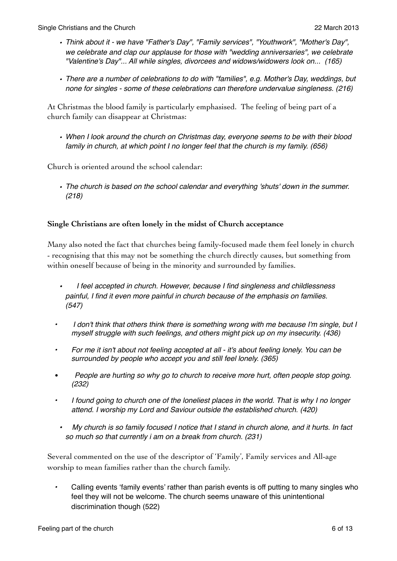- *• Think about it we have "Father's Day", "Family services", "Youthwork", "Mother's Day", we celebrate and clap our applause for those with "wedding anniversaries", we celebrate "Valentine's Day"... All while singles, divorcees and widows/widowers look on... (165)*
- *• There are a number of celebrations to do with "families", e.g. Mother's Day, weddings, but none for singles - some of these celebrations can therefore undervalue singleness. (216)*

At Christmas the blood family is particularly emphasised. The feeling of being part of a church family can disappear at Christmas:

*• When I look around the church on Christmas day, everyone seems to be with their blood family in church, at which point I no longer feel that the church is my family. (656)*

Church is oriented around the school calendar:

*• The church is based on the school calendar and everything 'shuts' down in the summer. (218)*

# **Single Christians are often lonely in the midst of Church acceptance**

Many also noted the fact that churches being family-focused made them feel lonely in church - recognising that this may not be something the church directly causes, but something from within oneself because of being in the minority and surrounded by families.

- *I feel accepted in church. However, because I find singleness and childlessness painful, I find it even more painful in church because of the emphasis on families. (547)*
- *• I don't think that others think there is something wrong with me because I'm single, but I myself struggle with such feelings, and others might pick up on my insecurity. (436)*
- *• For me it isn't about not feeling accepted at all it's about feeling lonely. You can be surrounded by people who accept you and still feel lonely. (365)*
- *People are hurting so why go to church to receive more hurt, often people stop going. (232)*
- *• I found going to church one of the loneliest places in the world. That is why I no longer attend. I worship my Lord and Saviour outside the established church. (420)*
- *My church is so family focused I notice that I stand in church alone, and it hurts. In fact so much so that currently i am on a break from church. (231)*

Several commented on the use of the descriptor of 'Family', Family services and All-age worship to mean families rather than the church family.

*•* Calling events 'family events' rather than parish events is off putting to many singles who feel they will not be welcome. The church seems unaware of this unintentional discrimination though (522)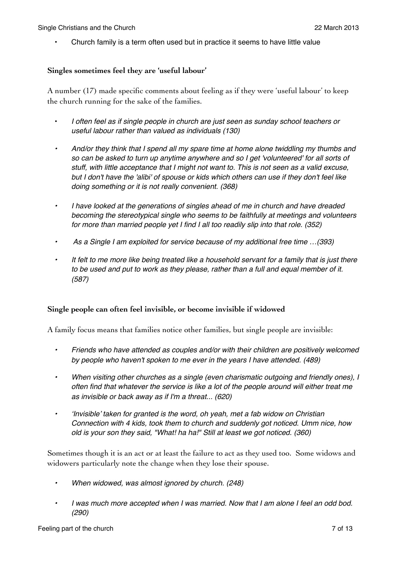• Church family is a term often used but in practice it seems to have little value

#### **Singles sometimes feel they are 'useful labour'**

A number (17) made specific comments about feeling as if they were 'useful labour' to keep the church running for the sake of the families.

- *I often feel as if single people in church are just seen as sunday school teachers or useful labour rather than valued as individuals (130)*
- *• And/or they think that I spend all my spare time at home alone twiddling my thumbs and so can be asked to turn up anytime anywhere and so I get 'volunteered' for all sorts of stuff, with little acceptance that I might not want to. This is not seen as a valid excuse, but I don't have the 'alibi' of spouse or kids which others can use if they don't feel like doing something or it is not really convenient. (368)*
- *• I have looked at the generations of singles ahead of me in church and have dreaded becoming the stereotypical single who seems to be faithfully at meetings and volunteers for more than married people yet I find I all too readily slip into that role. (352)*
- *As a Single I am exploited for service because of my additional free time …(393)*
- *• It felt to me more like being treated like a household servant for a family that is just there to be used and put to work as they please, rather than a full and equal member of it. (587)*

# **Single people can often feel invisible, or become invisible if widowed**

A family focus means that families notice other families, but single people are invisible:

- *• Friends who have attended as couples and/or with their children are positively welcomed by people who haven't spoken to me ever in the years I have attended. (489)*
- *• When visiting other churches as a single (even charismatic outgoing and friendly ones), I often find that whatever the service is like a lot of the people around will either treat me as invisible or back away as if I'm a threat... (620)*
- *• 'Invisible' taken for granted is the word, oh yeah, met a fab widow on Christian Connection with 4 kids, took them to church and suddenly got noticed. Umm nice, how old is your son they said, "What! ha ha!" Still at least we got noticed. (360)*

Sometimes though it is an act or at least the failure to act as they used too. Some widows and widowers particularly note the change when they lose their spouse.

- *• When widowed, was almost ignored by church. (248)*
- *• I was much more accepted when I was married. Now that I am alone I feel an odd bod. (290)*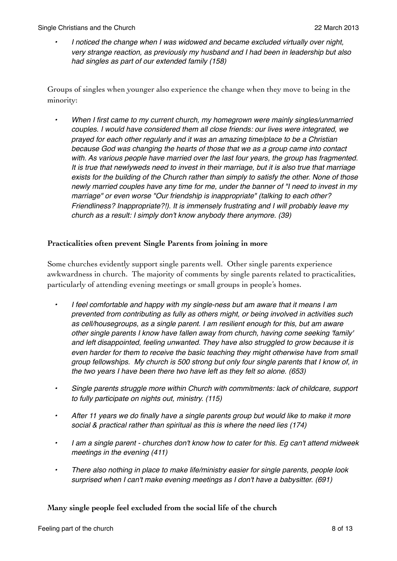*• I noticed the change when I was widowed and became excluded virtually over night, very strange reaction, as previously my husband and I had been in leadership but also had singles as part of our extended family (158)* 

Groups of singles when younger also experience the change when they move to being in the minority:

*• When I first came to my current church, my homegrown were mainly singles/unmarried couples. I would have considered them all close friends: our lives were integrated, we prayed for each other regularly and it was an amazing time/place to be a Christian because God was changing the hearts of those that we as a group came into contact with. As various people have married over the last four years, the group has fragmented. It is true that newlyweds need to invest in their marriage, but it is also true that marriage exists for the building of the Church rather than simply to satisfy the other. None of those newly married couples have any time for me, under the banner of "I need to invest in my marriage" or even worse "Our friendship is inappropriate" (talking to each other? Friendliness? Inappropriate?!). It is immensely frustrating and I will probably leave my church as a result: I simply don't know anybody there anymore. (39)*

# **Practicalities often prevent Single Parents from joining in more**

Some churches evidently support single parents well. Other single parents experience awkwardness in church. The majority of comments by single parents related to practicalities, particularly of attending evening meetings or small groups in people's homes.

- *• I feel comfortable and happy with my single-ness but am aware that it means I am prevented from contributing as fully as others might, or being involved in activities such as cell/housegroups, as a single parent. I am resilient enough for this, but am aware other single parents I know have fallen away from church, having come seeking 'family' and left disappointed, feeling unwanted. They have also struggled to grow because it is even harder for them to receive the basic teaching they might otherwise have from small group fellowships. My church is 500 strong but only four single parents that I know of, in the two years I have been there two have left as they felt so alone. (653)*
- *• Single parents struggle more within Church with commitments: lack of childcare, support to fully participate on nights out, ministry. (115)*
- *• After 11 years we do finally have a single parents group but would like to make it more social & practical rather than spiritual as this is where the need lies (174)*
- *• I am a single parent churches don't know how to cater for this. Eg can't attend midweek meetings in the evening (411)*
- *• There also nothing in place to make life/ministry easier for single parents, people look surprised when I can't make evening meetings as I don't have a babysitter. (691)*

# **Many single people feel excluded from the social life of the church**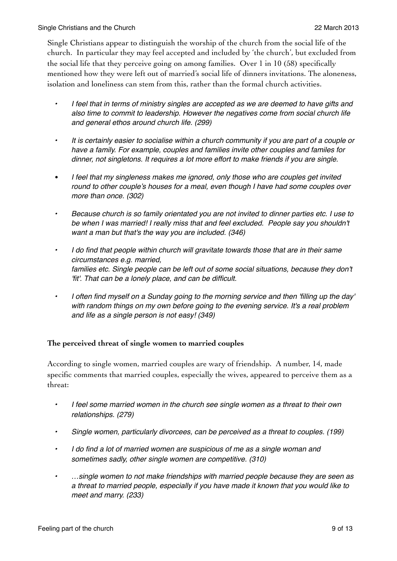Single Christians appear to distinguish the worship of the church from the social life of the church. In particular they may feel accepted and included by 'the church', but excluded from the social life that they perceive going on among families. Over 1 in 10 (58) specifically mentioned how they were left out of married's social life of dinners invitations. The aloneness, isolation and loneliness can stem from this, rather than the formal church activities.

- *• I feel that in terms of ministry singles are accepted as we are deemed to have gifts and also time to commit to leadership. However the negatives come from social church life and general ethos around church life. (299)*
- *• It is certainly easier to socialise within a church community if you are part of a couple or have a family. For example, couples and families invite other couples and familes for dinner, not singletons. It requires a lot more effort to make friends if you are single.*
- *• I feel that my singleness makes me ignored, only those who are couples get invited round to other couple's houses for a meal, even though I have had some couples over more than once. (302)*
- *• Because church is so family orientated you are not invited to dinner parties etc. I use to be when I was married! I really miss that and feel excluded. People say you shouldn't want a man but that's the way you are included. (346)*
- *• I do find that people within church will gravitate towards those that are in their same circumstances e.g. married,* families etc. Single people can be left out of some social situations, because they don't *'fit'. That can be a lonely place, and can be difficult.*
- *• I often find myself on a Sunday going to the morning service and then 'filling up the day' with random things on my own before going to the evening service. It's a real problem and life as a single person is not easy! (349)*

# **The perceived threat of single women to married couples**

According to single women, married couples are wary of friendship. A number, 14, made specific comments that married couples, especially the wives, appeared to perceive them as a threat:

- *• I feel some married women in the church see single women as a threat to their own relationships. (279)*
- *• Single women, particularly divorcees, can be perceived as a threat to couples. (199)*
- *• I do find a lot of married women are suspicious of me as a single woman and sometimes sadly, other single women are competitive. (310)*
- *• …single women to not make friendships with married people because they are seen as a threat to married people, especially if you have made it known that you would like to meet and marry. (233)*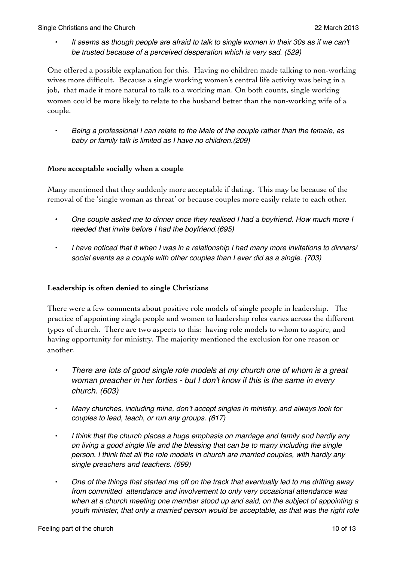*• It seems as though people are afraid to talk to single women in their 30s as if we can't be trusted because of a perceived desperation which is very sad. (529)*

One offered a possible explanation for this. Having no children made talking to non-working wives more difficult. Because a single working women's central life activity was being in a job, that made it more natural to talk to a working man. On both counts, single working women could be more likely to relate to the husband better than the non-working wife of a couple.

*• Being a professional I can relate to the Male of the couple rather than the female, as baby or family talk is limited as I have no children.(209)*

# **More acceptable socially when a couple**

Many mentioned that they suddenly more acceptable if dating. This may be because of the removal of the 'single woman as threat' or because couples more easily relate to each other.

- *• One couple asked me to dinner once they realised I had a boyfriend. How much more I needed that invite before I had the boyfriend.(695)*
- *• I have noticed that it when I was in a relationship I had many more invitations to dinners/ social events as a couple with other couples than I ever did as a single. (703)*

# **Leadership is often denied to single Christians**

There were a few comments about positive role models of single people in leadership. The practice of appointing single people and women to leadership roles varies across the different types of church. There are two aspects to this: having role models to whom to aspire, and having opportunity for ministry. The majority mentioned the exclusion for one reason or another.

- *• There are lots of good single role models at my church one of whom is a great woman preacher in her forties - but I don't know if this is the same in every church. (603)*
- *• Many churches, including mine, don't accept singles in ministry, and always look for couples to lead, teach, or run any groups. (617)*
- *• I think that the church places a huge emphasis on marriage and family and hardly any on living a good single life and the blessing that can be to many including the single person. I think that all the role models in church are married couples, with hardly any single preachers and teachers. (699)*
- *• One of the things that started me off on the track that eventually led to me drifting away from committed attendance and involvement to only very occasional attendance was when at a church meeting one member stood up and said, on the subject of appointing a youth minister, that only a married person would be acceptable, as that was the right role*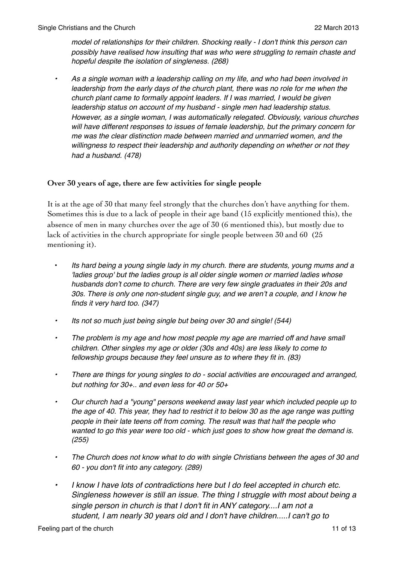*model of relationships for their children. Shocking really - I don't think this person can possibly have realised how insulting that was who were struggling to remain chaste and hopeful despite the isolation of singleness. (268)*

*• As a single woman with a leadership calling on my life, and who had been involved in leadership from the early days of the church plant, there was no role for me when the church plant came to formally appoint leaders. If I was married, I would be given leadership status on account of my husband - single men had leadership status. However, as a single woman, I was automatically relegated. Obviously, various churches will have different responses to issues of female leadership, but the primary concern for me was the clear distinction made between married and unmarried women, and the willingness to respect their leadership and authority depending on whether or not they had a husband. (478)*

# **Over 30 years of age, there are few activities for single people**

It is at the age of 30 that many feel strongly that the churches don't have anything for them. Sometimes this is due to a lack of people in their age band (15 explicitly mentioned this), the absence of men in many churches over the age of 30 (6 mentioned this), but mostly due to lack of activities in the church appropriate for single people between 30 and 60 (25 mentioning it).

- *Its hard being a young single lady in my church. there are students, young mums and a 'ladies group' but the ladies group is all older single women or married ladies whose husbands don't come to church. There are very few single graduates in their 20s and 30s. There is only one non-student single guy, and we aren't a couple, and I know he finds it very hard too. (347)*
- *• Its not so much just being single but being over 30 and single! (544)*
- *• The problem is my age and how most people my age are married off and have small children. Other singles my age or older (30s and 40s) are less likely to come to fellowship groups because they feel unsure as to where they fit in. (83)*
- *• There are things for young singles to do social activities are encouraged and arranged, but nothing for 30+.. and even less for 40 or 50+*
- *• Our church had a "young" persons weekend away last year which included people up to the age of 40. This year, they had to restrict it to below 30 as the age range was putting people in their late teens off from coming. The result was that half the people who wanted to go this year were too old - which just goes to show how great the demand is. (255)*
- *• The Church does not know what to do with single Christians between the ages of 30 and 60 - you don't fit into any category. (289)*
- *• I know I have lots of contradictions here but I do feel accepted in church etc. Singleness however is still an issue. The thing I struggle with most about being a single person in church is that I don't fit in ANY category....I am not a student, I am nearly 30 years old and I don't have children.....I can't go to*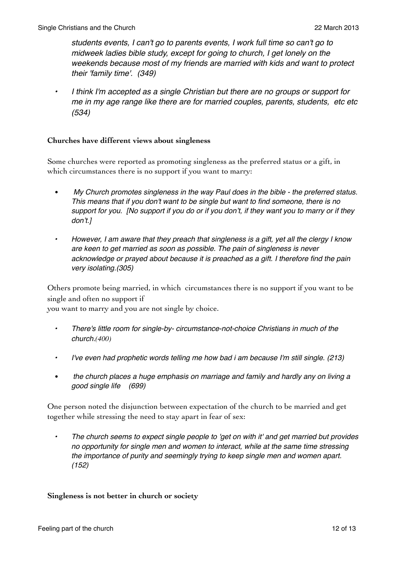*students events, I can't go to parents events, I work full time so can't go to midweek ladies bible study, except for going to church, I get lonely on the weekends because most of my friends are married with kids and want to protect their 'family time'. (349)*

*• I think I'm accepted as a single Christian but there are no groups or support for me in my age range like there are for married couples, parents, students, etc etc (534)*

#### **Churches have different views about singleness**

Some churches were reported as promoting singleness as the preferred status or a gift, in which circumstances there is no support if you want to marry:

- *• My Church promotes singleness in the way Paul does in the bible the preferred status. This means that if you don't want to be single but want to find someone, there is no support for you. [No support if you do or if you don't, if they want you to marry or if they don't.]*
- *• However, I am aware that they preach that singleness is a gift, yet all the clergy I know are keen to get married as soon as possible. The pain of singleness is never acknowledge or prayed about because it is preached as a gift. I therefore find the pain very isolating.(305)*

Others promote being married, in which circumstances there is no support if you want to be single and often no support if

you want to marry and you are not single by choice.

- *• There's little room for single-by- circumstance-not-choice Christians in much of the church.(400)*
- *• I've even had prophetic words telling me how bad i am because I'm still single. (213)*
- *• the church places a huge emphasis on marriage and family and hardly any on living a good single life (699)*

One person noted the disjunction between expectation of the church to be married and get together while stressing the need to stay apart in fear of sex:

*• The church seems to expect single people to 'get on with it' and get married but provides no opportunity for single men and women to interact, while at the same time stressing the importance of purity and seemingly trying to keep single men and women apart. (152)*

#### **Singleness is not better in church or society**